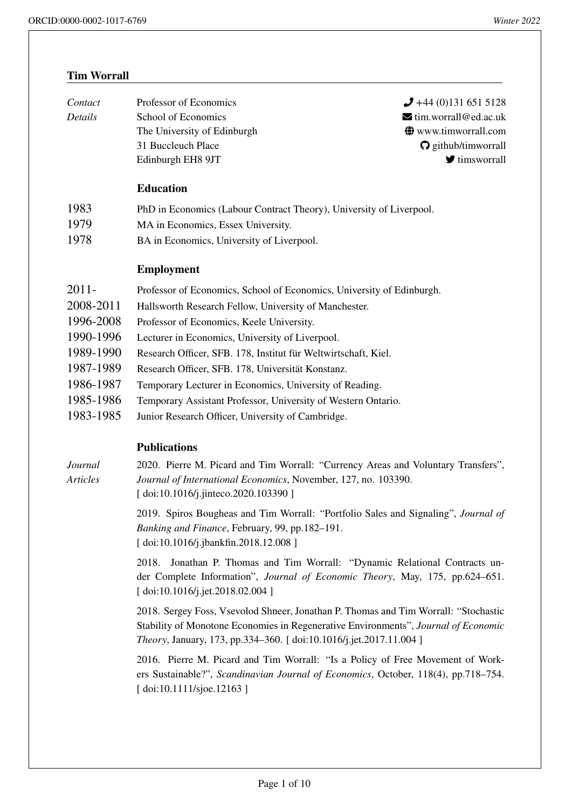# **[Tim Worrall](http://orcid.org/0000-0002-1017-6769)**

| Contact | Professor of Economics      | $\bigcup$ +44 (0)131 651 5128              |
|---------|-----------------------------|--------------------------------------------|
| Details | School of Economics         | $\blacktriangleright$ tim.worrall@ed.ac.uk |
|         | The University of Edinburgh | $\bigcirc$ www.timworrall.com              |
|         | 31 Buccleuch Place          | $\Omega$ github/timworrall                 |
|         | Edinburgh EH8 9JT           | $\blacktriangleright$ timsworrall          |
|         |                             |                                            |

## **Education**

- 1983 PhD in Economics (Labour Contract Theory), University of Liverpool.
- 1979 MA in Economics, Essex University.
- 1978 BA in Economics, University of Liverpool.

# **Employment**

| $2011 -$  | Professor of Economics, School of Economics, University of Edinburgh. |
|-----------|-----------------------------------------------------------------------|
| 2008-2011 | Hallsworth Research Fellow, University of Manchester.                 |
| 1996-2008 | Professor of Economics, Keele University.                             |
| 1990-1996 | Lecturer in Economics, University of Liverpool.                       |
| 1989-1990 | Research Officer, SFB. 178, Institut für Weltwirtschaft, Kiel.        |
| 1987-1989 | Research Officer, SFB. 178, Universität Konstanz.                     |
| 1986-1987 | Temporary Lecturer in Economics, University of Reading.               |
| 1985-1986 | Temporary Assistant Professor, University of Western Ontario.         |
| 1983-1985 | Junior Research Officer, University of Cambridge.                     |

# **Publications**

*Journal Articles* 2020. Pierre M. Picard and Tim Worrall: "Currency Areas and Voluntary Transfers", *Journal of International Economics*, November, 127, no. 103390. [ doi:10.1016/j.jinteco.2020.103390 ]

> 2019. Spiros Bougheas and Tim Worrall: "Portfolio Sales and Signaling", *Journal of Banking and Finance*, February, 99, pp.182–191. [ [doi:10.1016/j.jbankfin.2018.12.008](https://doi.org/10.1016/j.jinteco.2020.103390) ]

> 2018. Jonathan P. Thomas and Tim Worrall: "Dynamic Relational Contracts under Complete Information", *Journal of Economic Theory*, May, 175, pp.624–651. [ [doi:10.1016/j.jet.2018.02.004](http://dx.doi.org/10.1016/j.jbankfin.2018.12.008) ]

> 2018. Sergey Foss, Vsevolod Shneer, Jonathan P. Thomas and Tim Worrall: "Stochastic Stability of Monotone Economies in Regenerative Environments", *Journal of Economic Theory*[, January, 173, pp.334–3](http://dx.doi.org/10.1016/j.jet.2018.02.004)60. [ doi:10.1016/j.jet.2017.11.004 ]

> 2016. Pierre M. Picard and Tim Worrall: "Is a Policy of Free Movement of Workers Sustainable?", *Scandinavian Journal of Economics*, October, 118(4), pp.718–754. [ doi:10.1111/sjoe.12163 ]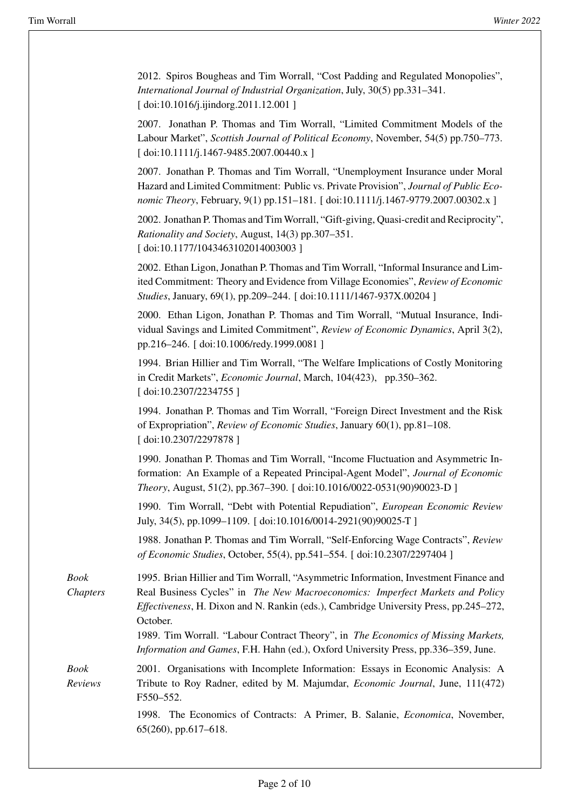2012. Spiros Bougheas and Tim Worrall, "Cost Padding and Regulated Monopolies", *International Journal of Industrial Organization*, July, 30(5) pp.331–341. [ doi:10.1016/j.ijindorg.2011.12.001 ]

2007. Jonathan P. Thomas and Tim Worrall, "Limited Commitment Models of the Labour Market", *Scottish Journal of Political Economy*, November, 54(5) pp.750–773. [ [doi:10.1111/j.1467-9485.2007.0044](http://dx.doi.org/10.1016/j.ijindorg.2011.12.001)0.x ]

2007. Jonathan P. Thomas and Tim Worrall, "Unemployment Insurance under Moral Hazard and Limited Commitment: Public vs. Private Provision", *Journal of Public Economic Theory*[, February, 9\(1\) pp.151–18](http://dx.doi.org/10.1111/j.1467-9485.2007.00440.x)1. [ doi:10.1111/j.1467-9779.2007.00302.x ]

2002. Jonathan P. Thomas and Tim Worrall, "Gift-giving, Quasi-credit and Reciprocity", *Rationality and Society*, August, 14(3) pp.307–351. [ doi:10.1177/1043463102014003003 ]

2002. Ethan Ligon, Jonathan P. Thomas and Tim Worrall, "Informal Insurance and Limited Commitment: Theory and Evidence from Village Economies", *Review of Economic Studies*[, January, 69\(1\), pp.209–244. \[](http://dx.doi.org/10.1177/1043463102014003003) doi:10.1111/1467-937X.00204 ]

2000. Ethan Ligon, Jonathan P. Thomas and Tim Worrall, "Mutual Insurance, Individual Savings and Limited Commitment", *Review of Economic Dynamics*, April 3(2), pp.216–246. [ doi:10.1006/redy.1999.[0081](http://dx.doi.org/10.1111/1467-937X.00204) ]

1994. Brian Hillier and Tim Worrall, "The Welfare Implications of Costly Monitoring in Credit Markets", *Economic Journal*, March, 104(423), pp.350–362. [ doi:10.2307/[2234755](http://dx.doi.org/10.1006/redy.1999.0081) ]

1994. Jonathan P. Thomas and Tim Worrall, "Foreign Direct Investment and the Risk of Expropriation", *Review of Economic Studies*, January 60(1), pp.81–108. [ [doi:10.2307/2297878](http://dx.doi.org/10.2307/2234755) ]

1990. Jonathan P. Thomas and Tim Worrall, "Income Fluctuation and Asymmetric Information: An Example of a Repeated Principal-Agent Model", *Journal of Economic Theory*[, August, 51\(2\),](http://dx.doi.org/10.2307/2297878) pp.367–390. [ doi:10.1016/0022-0531(90)90023-D ]

1990. Tim Worrall, "Debt with Potential Repudiation", *European Economic Review* July, 34(5), pp.1099–1109. [ doi:10.1016/0014-2921(90)90025-T ]

1988. Jonathan P. Thomas and Tim [Worrall, "Self-Enforcing Wage Contrac](http://dx.doi.org/10.1016/0022-0531(90)90023-D)ts", *Review of Economic Studies*, October, 55(4), pp.541–554. [ doi:10.2307/2297404 ]

*Book Chapters* 1995. Brian Hillier and Tim [Worrall, "Asymmetric Information, In](http://dx.doi.org/10.1016/0014-2921(90)90025-T)vestment Finance and Real Business Cycles" in *The New Macroeconomics: Imperfect Markets and Policy Effectiveness*, H. Dixon and N. Rankin (eds.), Camb[ridge University Press](http://dx.doi.org/10.2307/2297404), pp.245–272, October.

> 1989. Tim Worrall. "Labour Contract Theory", in *The Economics of Missing Markets, Information and Games*, F.H. Hahn (ed.), Oxford University Press, pp.336–359, June.

*Book Reviews* 2001. Organisations with Incomplete Information: Essays in Economic Analysis: A Tribute to Roy Radner, edited by M. Majumdar, *Economic Journal*, June, 111(472) F550–552.

> 1998. The Economics of Contracts: A Primer, B. Salanie, *Economica*, November, 65(260), pp.617–618.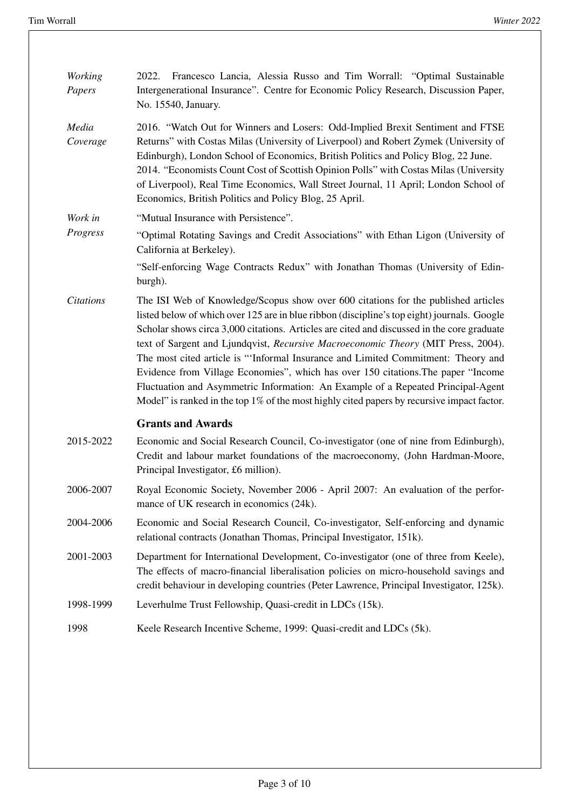| <b>Working</b><br>Papers | 2022. Francesco Lancia, Alessia Russo and Tim Worrall: "Optimal Sustainable<br>Intergenerational Insurance". Centre for Economic Policy Research, Discussion Paper,<br>No. 15540, January.                                                                                                                                                                                                                                                                                                                                                                                                                                                                                                                                        |
|--------------------------|-----------------------------------------------------------------------------------------------------------------------------------------------------------------------------------------------------------------------------------------------------------------------------------------------------------------------------------------------------------------------------------------------------------------------------------------------------------------------------------------------------------------------------------------------------------------------------------------------------------------------------------------------------------------------------------------------------------------------------------|
| Media<br>Coverage        | 2016. "Watch Out for Winners and Losers: Odd-Implied Brexit Sentiment and FTSE<br>Returns" with Costas Milas (University of Liverpool) and Robert Zymek (University of<br>Edinburgh), London School of Economics, British Politics and Policy Blog, 22 June.<br>2014. "Economists Count Cost of Scottish Opinion Polls" with Costas Milas (University<br>of Liverpool), Real Time Economics, Wall Street Journal, 11 April; London School of<br>Economics, British Politics and Policy Blog, 25 April.                                                                                                                                                                                                                            |
| Work in                  | "Mutual Insurance with Persistence".                                                                                                                                                                                                                                                                                                                                                                                                                                                                                                                                                                                                                                                                                              |
| Progress                 | "Optimal Rotating Savings and Credit Associations" with Ethan Ligon (University of<br>California at Berkeley).                                                                                                                                                                                                                                                                                                                                                                                                                                                                                                                                                                                                                    |
|                          | "Self-enforcing Wage Contracts Redux" with Jonathan Thomas (University of Edin-<br>burgh).                                                                                                                                                                                                                                                                                                                                                                                                                                                                                                                                                                                                                                        |
| <b>Citations</b>         | The ISI Web of Knowledge/Scopus show over 600 citations for the published articles<br>listed below of which over 125 are in blue ribbon (discipline's top eight) journals. Google<br>Scholar shows circa 3,000 citations. Articles are cited and discussed in the core graduate<br>text of Sargent and Ljundqvist, Recursive Macroeconomic Theory (MIT Press, 2004).<br>The most cited article is "'Informal Insurance and Limited Commitment: Theory and<br>Evidence from Village Economies", which has over 150 citations. The paper "Income"<br>Fluctuation and Asymmetric Information: An Example of a Repeated Principal-Agent<br>Model" is ranked in the top 1% of the most highly cited papers by recursive impact factor. |
|                          | <b>Grants and Awards</b>                                                                                                                                                                                                                                                                                                                                                                                                                                                                                                                                                                                                                                                                                                          |
| 2015-2022                | Economic and Social Research Council, Co-investigator (one of nine from Edinburgh),<br>Credit and labour market foundations of the macroeconomy, (John Hardman-Moore,<br>Principal Investigator, £6 million).                                                                                                                                                                                                                                                                                                                                                                                                                                                                                                                     |
| 2006-2007                | Royal Economic Society, November 2006 - April 2007: An evaluation of the perfor-<br>mance of UK research in economics (24k).                                                                                                                                                                                                                                                                                                                                                                                                                                                                                                                                                                                                      |
| 2004-2006                | Economic and Social Research Council, Co-investigator, Self-enforcing and dynamic<br>relational contracts (Jonathan Thomas, Principal Investigator, 151k).                                                                                                                                                                                                                                                                                                                                                                                                                                                                                                                                                                        |
| 2001-2003                | Department for International Development, Co-investigator (one of three from Keele),<br>The effects of macro-financial liberalisation policies on micro-household savings and<br>credit behaviour in developing countries (Peter Lawrence, Principal Investigator, 125k).                                                                                                                                                                                                                                                                                                                                                                                                                                                         |
| 1998-1999                | Leverhulme Trust Fellowship, Quasi-credit in LDCs (15k).                                                                                                                                                                                                                                                                                                                                                                                                                                                                                                                                                                                                                                                                          |
| 1998                     | Keele Research Incentive Scheme, 1999: Quasi-credit and LDCs (5k).                                                                                                                                                                                                                                                                                                                                                                                                                                                                                                                                                                                                                                                                |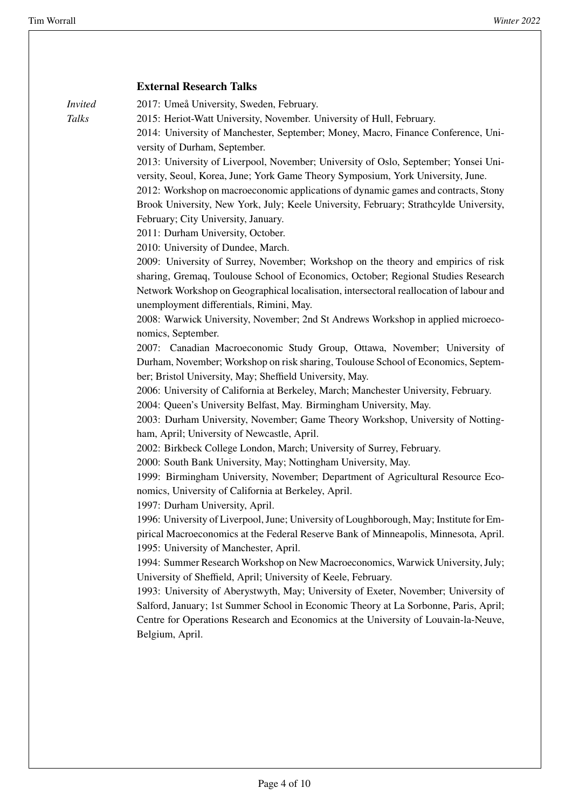### **External Research Talks**

*Invited Talks*

2017: Umeå University, Sweden, February.

2015: Heriot-Watt University, November. University of Hull, February.

2014: University of Manchester, September; Money, Macro, Finance Conference, University of Durham, September.

2013: University of Liverpool, November; University of Oslo, September; Yonsei University, Seoul, Korea, June; York Game Theory Symposium, York University, June.

2012: Workshop on macroeconomic applications of dynamic games and contracts, Stony Brook University, New York, July; Keele University, February; Strathcylde University, February; City University, January.

2011: Durham University, October.

2010: University of Dundee, March.

2009: University of Surrey, November; Workshop on the theory and empirics of risk sharing, Gremaq, Toulouse School of Economics, October; Regional Studies Research Network Workshop on Geographical localisation, intersectoral reallocation of labour and unemployment differentials, Rimini, May.

2008: Warwick University, November; 2nd St Andrews Workshop in applied microeconomics, September.

2007: Canadian Macroeconomic Study Group, Ottawa, November; University of Durham, November; Workshop on risk sharing, Toulouse School of Economics, September; Bristol University, May; Sheffield University, May.

2006: University of California at Berkeley, March; Manchester University, February.

2004: Queen's University Belfast, May. Birmingham University, May.

2003: Durham University, November; Game Theory Workshop, University of Nottingham, April; University of Newcastle, April.

2002: Birkbeck College London, March; University of Surrey, February.

2000: South Bank University, May; Nottingham University, May.

1999: Birmingham University, November; Department of Agricultural Resource Economics, University of California at Berkeley, April.

1997: Durham University, April.

1996: University of Liverpool, June; University of Loughborough, May; Institute for Empirical Macroeconomics at the Federal Reserve Bank of Minneapolis, Minnesota, April. 1995: University of Manchester, April.

1994: Summer Research Workshop on New Macroeconomics, Warwick University, July; University of Sheffield, April; University of Keele, February.

1993: University of Aberystwyth, May; University of Exeter, November; University of Salford, January; 1st Summer School in Economic Theory at La Sorbonne, Paris, April; Centre for Operations Research and Economics at the University of Louvain-la-Neuve, Belgium, April.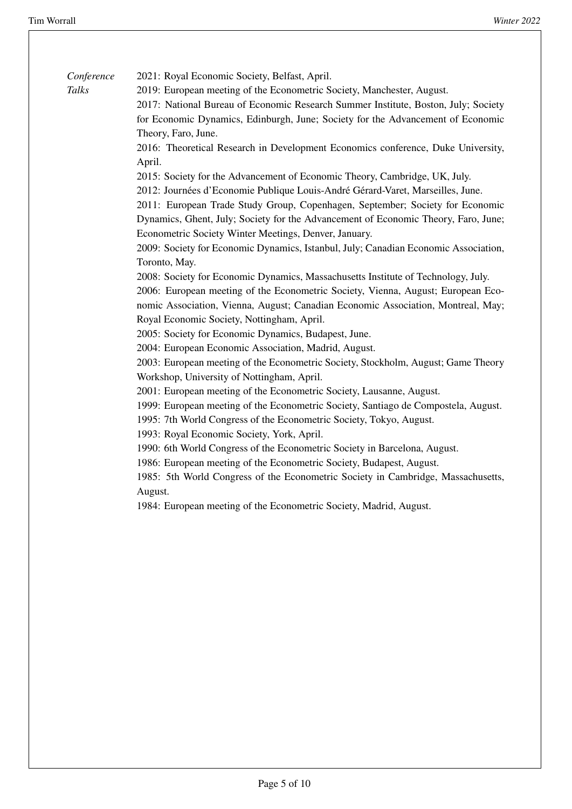*[Co](http://orcid.org/0000-0002-1017-6769)nference Talks*

2021: Royal Economic Society, Belfast, April.

2019: European meeting of the Econometric Society, Manchester, August.

2017: National Bureau of Economic Research Summer Institute, Boston, July; Society for Economic Dynamics, Edinburgh, June; Society for the Advancement of Economic Theory, Faro, June.

2016: Theoretical Research in Development Economics conference, Duke University, April.

2015: Society for the Advancement of Economic Theory, Cambridge, UK, July.

2012: Journées d'Economie Publique Louis-André Gérard-Varet, Marseilles, June.

2011: European Trade Study Group, Copenhagen, September; Society for Economic Dynamics, Ghent, July; Society for the Advancement of Economic Theory, Faro, June; Econometric Society Winter Meetings, Denver, January.

2009: Society for Economic Dynamics, Istanbul, July; Canadian Economic Association, Toronto, May.

2008: Society for Economic Dynamics, Massachusetts Institute of Technology, July.

2006: European meeting of the Econometric Society, Vienna, August; European Economic Association, Vienna, August; Canadian Economic Association, Montreal, May; Royal Economic Society, Nottingham, April.

2005: Society for Economic Dynamics, Budapest, June.

2004: European Economic Association, Madrid, August.

2003: European meeting of the Econometric Society, Stockholm, August; Game Theory Workshop, University of Nottingham, April.

2001: European meeting of the Econometric Society, Lausanne, August.

1999: European meeting of the Econometric Society, Santiago de Compostela, August.

1995: 7th World Congress of the Econometric Society, Tokyo, August.

1993: Royal Economic Society, York, April.

1990: 6th World Congress of the Econometric Society in Barcelona, August.

1986: European meeting of the Econometric Society, Budapest, August.

1985: 5th World Congress of the Econometric Society in Cambridge, Massachusetts, August.

1984: European meeting of the Econometric Society, Madrid, August.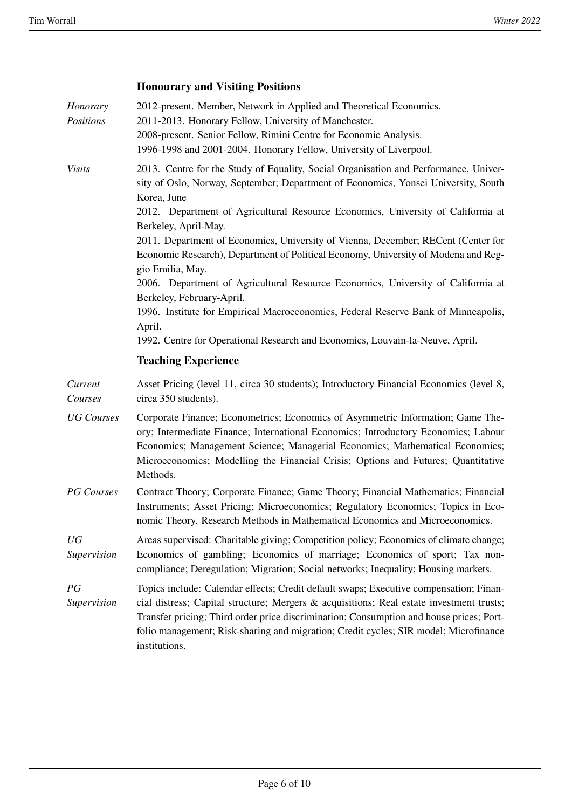|                       | <b>Honourary and Visiting Positions</b>                                                                                                                                                                                                                                                                                                                                                |
|-----------------------|----------------------------------------------------------------------------------------------------------------------------------------------------------------------------------------------------------------------------------------------------------------------------------------------------------------------------------------------------------------------------------------|
| Honorary<br>Positions | 2012-present. Member, Network in Applied and Theoretical Economics.<br>2011-2013. Honorary Fellow, University of Manchester.<br>2008-present. Senior Fellow, Rimini Centre for Economic Analysis.<br>1996-1998 and 2001-2004. Honorary Fellow, University of Liverpool.                                                                                                                |
| <b>Visits</b>         | 2013. Centre for the Study of Equality, Social Organisation and Performance, Univer-<br>sity of Oslo, Norway, September; Department of Economics, Yonsei University, South<br>Korea, June<br>2012. Department of Agricultural Resource Economics, University of California at<br>Berkeley, April-May.                                                                                  |
|                       | 2011. Department of Economics, University of Vienna, December; RECent (Center for<br>Economic Research), Department of Political Economy, University of Modena and Reg-<br>gio Emilia, May.                                                                                                                                                                                            |
|                       | 2006. Department of Agricultural Resource Economics, University of California at<br>Berkeley, February-April.                                                                                                                                                                                                                                                                          |
|                       | 1996. Institute for Empirical Macroeconomics, Federal Reserve Bank of Minneapolis,<br>April.                                                                                                                                                                                                                                                                                           |
|                       | 1992. Centre for Operational Research and Economics, Louvain-la-Neuve, April.<br><b>Teaching Experience</b>                                                                                                                                                                                                                                                                            |
|                       |                                                                                                                                                                                                                                                                                                                                                                                        |
| Current<br>Courses    | Asset Pricing (level 11, circa 30 students); Introductory Financial Economics (level 8,<br>circa 350 students).                                                                                                                                                                                                                                                                        |
| <b>UG</b> Courses     | Corporate Finance; Econometrics; Economics of Asymmetric Information; Game The-<br>ory; Intermediate Finance; International Economics; Introductory Economics; Labour<br>Economics; Management Science; Managerial Economics; Mathematical Economics;<br>Microeconomics; Modelling the Financial Crisis; Options and Futures; Quantitative<br>Methods.                                 |
| <b>PG</b> Courses     | Contract Theory; Corporate Finance; Game Theory; Financial Mathematics; Financial<br>Instruments; Asset Pricing; Microeconomics; Regulatory Economics; Topics in Eco-<br>nomic Theory. Research Methods in Mathematical Economics and Microeconomics.                                                                                                                                  |
| UG<br>Supervision     | Areas supervised: Charitable giving; Competition policy; Economics of climate change;<br>Economics of gambling; Economics of marriage; Economics of sport; Tax non-<br>compliance; Deregulation; Migration; Social networks; Inequality; Housing markets.                                                                                                                              |
| PG<br>Supervision     | Topics include: Calendar effects; Credit default swaps; Executive compensation; Finan-<br>cial distress; Capital structure; Mergers & acquisitions; Real estate investment trusts;<br>Transfer pricing; Third order price discrimination; Consumption and house prices; Port-<br>folio management; Risk-sharing and migration; Credit cycles; SIR model; Microfinance<br>institutions. |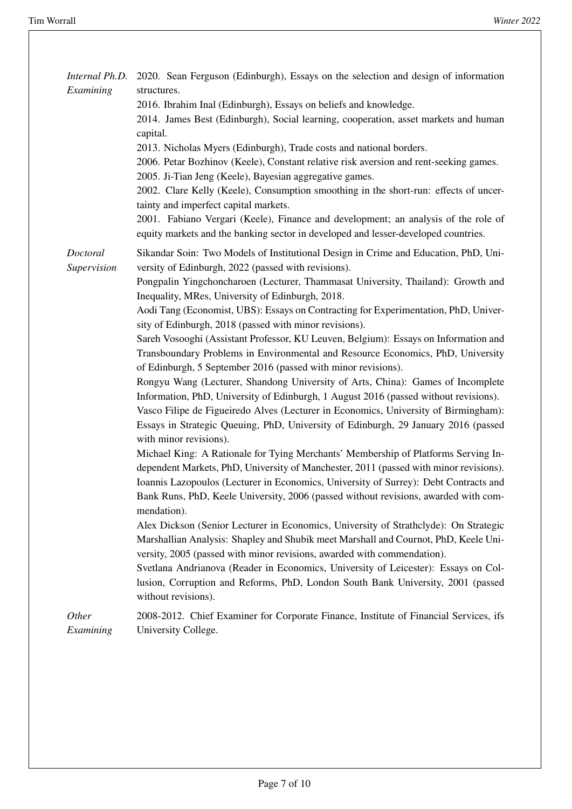| Internal Ph.D.<br>Examining | 2020. Sean Ferguson (Edinburgh), Essays on the selection and design of information<br>structures.<br>2016. Ibrahim Inal (Edinburgh), Essays on beliefs and knowledge.<br>2014. James Best (Edinburgh), Social learning, cooperation, asset markets and human<br>capital.<br>2013. Nicholas Myers (Edinburgh), Trade costs and national borders.<br>2006. Petar Bozhinov (Keele), Constant relative risk aversion and rent-seeking games.<br>2005. Ji-Tian Jeng (Keele), Bayesian aggregative games.<br>2002. Clare Kelly (Keele), Consumption smoothing in the short-run: effects of uncer-<br>tainty and imperfect capital markets.<br>2001. Fabiano Vergari (Keele), Finance and development; an analysis of the role of<br>equity markets and the banking sector in developed and lesser-developed countries.                                                                                                                                                                                                                                                                                                                                                                                                                                                                                                                                                                                                                                                                                                                                                                                                                                                                                                                                                                                                                                                                                        |
|-----------------------------|---------------------------------------------------------------------------------------------------------------------------------------------------------------------------------------------------------------------------------------------------------------------------------------------------------------------------------------------------------------------------------------------------------------------------------------------------------------------------------------------------------------------------------------------------------------------------------------------------------------------------------------------------------------------------------------------------------------------------------------------------------------------------------------------------------------------------------------------------------------------------------------------------------------------------------------------------------------------------------------------------------------------------------------------------------------------------------------------------------------------------------------------------------------------------------------------------------------------------------------------------------------------------------------------------------------------------------------------------------------------------------------------------------------------------------------------------------------------------------------------------------------------------------------------------------------------------------------------------------------------------------------------------------------------------------------------------------------------------------------------------------------------------------------------------------------------------------------------------------------------------------------------------------|
| Doctoral<br>Supervision     | Sikandar Soin: Two Models of Institutional Design in Crime and Education, PhD, Uni-<br>versity of Edinburgh, 2022 (passed with revisions).<br>Pongpalin Yingchoncharoen (Lecturer, Thammasat University, Thailand): Growth and<br>Inequality, MRes, University of Edinburgh, 2018.<br>Aodi Tang (Economist, UBS): Essays on Contracting for Experimentation, PhD, Univer-<br>sity of Edinburgh, 2018 (passed with minor revisions).<br>Sareh Vosooghi (Assistant Professor, KU Leuven, Belgium): Essays on Information and<br>Transboundary Problems in Environmental and Resource Economics, PhD, University<br>of Edinburgh, 5 September 2016 (passed with minor revisions).<br>Rongyu Wang (Lecturer, Shandong University of Arts, China): Games of Incomplete<br>Information, PhD, University of Edinburgh, 1 August 2016 (passed without revisions).<br>Vasco Filipe de Figueiredo Alves (Lecturer in Economics, University of Birmingham):<br>Essays in Strategic Queuing, PhD, University of Edinburgh, 29 January 2016 (passed<br>with minor revisions).<br>Michael King: A Rationale for Tying Merchants' Membership of Platforms Serving In-<br>dependent Markets, PhD, University of Manchester, 2011 (passed with minor revisions).<br>Ioannis Lazopoulos (Lecturer in Economics, University of Surrey): Debt Contracts and<br>Bank Runs, PhD, Keele University, 2006 (passed without revisions, awarded with com-<br>mendation).<br>Alex Dickson (Senior Lecturer in Economics, University of Strathclyde): On Strategic<br>Marshallian Analysis: Shapley and Shubik meet Marshall and Cournot, PhD, Keele Uni-<br>versity, 2005 (passed with minor revisions, awarded with commendation).<br>Svetlana Andrianova (Reader in Economics, University of Leicester): Essays on Col-<br>lusion, Corruption and Reforms, PhD, London South Bank University, 2001 (passed<br>without revisions). |
| Other<br>Examining          | 2008-2012. Chief Examiner for Corporate Finance, Institute of Financial Services, ifs<br>University College.                                                                                                                                                                                                                                                                                                                                                                                                                                                                                                                                                                                                                                                                                                                                                                                                                                                                                                                                                                                                                                                                                                                                                                                                                                                                                                                                                                                                                                                                                                                                                                                                                                                                                                                                                                                            |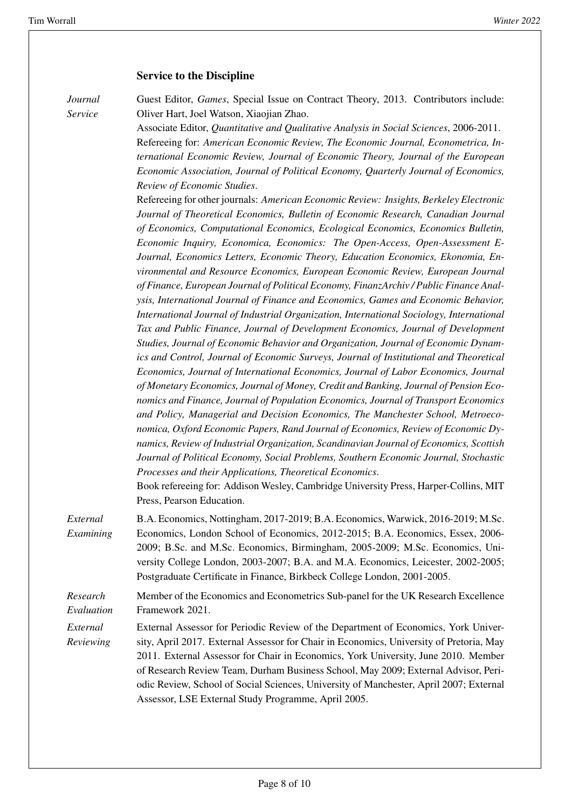#### **Service to the Discipline**

*Journal Service*

Guest Editor, *Games*, Special Issue on Contract Theory, 2013. Contributors include: Oliver Hart, Joel Watson, Xiaojian Zhao.

Associate Editor, *Quantitative and Qualitative Analysis in Social Sciences*, 2006-2011. Refereeing for: *American Economic Review, The Economic Journal, Econometrica, International Economic Review, Journal of Economic Theory, Journal of the European Economic Association, Journal of Political Economy, Quarterly Journal of Economics, Review of Economic Studies*.

Refereeing for other journals: *American Economic Review: Insights, Berkeley Electronic Journal of Theoretical Economics, Bulletin of Economic Research, Canadian Journal of Economics, Computational Economics, Ecological Economics, Economics Bulletin, Economic Inquiry, Economica, Economics: The Open-Access, Open-Assessment E-Journal, Economics Letters, Economic Theory, Education Economics, Ekonomia, Environmental and Resource Economics, European Economic Review, European Journal of Finance, European Journal of Political Economy, FinanzArchiv / Public Finance Analysis, International Journal of Finance and Economics, Games and Economic Behavior, International Journal of Industrial Organization, International Sociology, International Tax and Public Finance, Journal of Development Economics, Journal of Development Studies, Journal of Economic Behavior and Organization, Journal of Economic Dynamics and Control, Journal of Economic Surveys, Journal of Institutional and Theoretical Economics, Journal of International Economics, Journal of Labor Economics, Journal of Monetary Economics, Journal of Money, Credit and Banking, Journal of Pension Economics and Finance, Journal of Population Economics, Journal of Transport Economics and Policy, Managerial and Decision Economics, The Manchester School, Metroeconomica, Oxford Economic Papers, Rand Journal of Economics, Review of Economic Dynamics, Review of Industrial Organization, Scandinavian Journal of Economics, Scottish Journal of Political Economy, Social Problems, Southern Economic Journal, Stochastic Processes and their Applications, Theoretical Economics*.

Book refereeing for: Addison Wesley, Cambridge University Press, Harper-Collins, MIT Press, Pearson Education.

*External Examining* B.A. Economics, Nottingham, 2017-2019; B.A. Economics, Warwick, 2016-2019; M.Sc. Economics, London School of Economics, 2012-2015; B.A. Economics, Essex, 2006- 2009; B.Sc. and M.Sc. Economics, Birmingham, 2005-2009; M.Sc. Economics, University College London, 2003-2007; B.A. and M.A. Economics, Leicester, 2002-2005; Postgraduate Certificate in Finance, Birkbeck College London, 2001-2005.

*Research Evaluation* Member of the Economics and Econometrics Sub-panel for the UK Research Excellence Framework 2021.

*External Reviewing*

External Assessor for Periodic Review of the Department of Economics, York University, April 2017. External Assessor for Chair in Economics, University of Pretoria, May 2011. External Assessor for Chair in Economics, York University, June 2010. Member of Research Review Team, Durham Business School, May 2009; External Advisor, Periodic Review, School of Social Sciences, University of Manchester, April 2007; External Assessor, LSE External Study Programme, April 2005.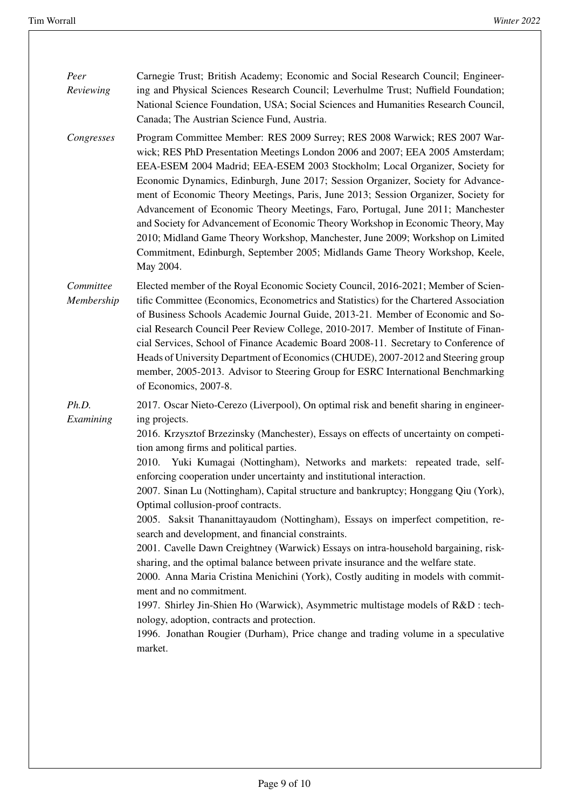| Peer<br>Reviewing       | Carnegie Trust; British Academy; Economic and Social Research Council; Engineer-<br>ing and Physical Sciences Research Council; Leverhulme Trust; Nuffield Foundation;<br>National Science Foundation, USA; Social Sciences and Humanities Research Council,<br>Canada; The Austrian Science Fund, Austria.                                                                                                                                                                                                                                                                                                                                                                                                                                                                                                                                                                                                                                                                                                                                                                                                                                                                                                   |
|-------------------------|---------------------------------------------------------------------------------------------------------------------------------------------------------------------------------------------------------------------------------------------------------------------------------------------------------------------------------------------------------------------------------------------------------------------------------------------------------------------------------------------------------------------------------------------------------------------------------------------------------------------------------------------------------------------------------------------------------------------------------------------------------------------------------------------------------------------------------------------------------------------------------------------------------------------------------------------------------------------------------------------------------------------------------------------------------------------------------------------------------------------------------------------------------------------------------------------------------------|
| Congresses              | Program Committee Member: RES 2009 Surrey; RES 2008 Warwick; RES 2007 War-<br>wick; RES PhD Presentation Meetings London 2006 and 2007; EEA 2005 Amsterdam;<br>EEA-ESEM 2004 Madrid; EEA-ESEM 2003 Stockholm; Local Organizer, Society for<br>Economic Dynamics, Edinburgh, June 2017; Session Organizer, Society for Advance-<br>ment of Economic Theory Meetings, Paris, June 2013; Session Organizer, Society for<br>Advancement of Economic Theory Meetings, Faro, Portugal, June 2011; Manchester<br>and Society for Advancement of Economic Theory Workshop in Economic Theory, May<br>2010; Midland Game Theory Workshop, Manchester, June 2009; Workshop on Limited<br>Commitment, Edinburgh, September 2005; Midlands Game Theory Workshop, Keele,<br>May 2004.                                                                                                                                                                                                                                                                                                                                                                                                                                      |
| Committee<br>Membership | Elected member of the Royal Economic Society Council, 2016-2021; Member of Scien-<br>tific Committee (Economics, Econometrics and Statistics) for the Chartered Association<br>of Business Schools Academic Journal Guide, 2013-21. Member of Economic and So-<br>cial Research Council Peer Review College, 2010-2017. Member of Institute of Finan-<br>cial Services, School of Finance Academic Board 2008-11. Secretary to Conference of<br>Heads of University Department of Economics (CHUDE), 2007-2012 and Steering group<br>member, 2005-2013. Advisor to Steering Group for ESRC International Benchmarking<br>of Economics, 2007-8.                                                                                                                                                                                                                                                                                                                                                                                                                                                                                                                                                                |
| Ph.D.<br>Examining      | 2017. Oscar Nieto-Cerezo (Liverpool), On optimal risk and benefit sharing in engineer-<br>ing projects.<br>2016. Krzysztof Brzezinsky (Manchester), Essays on effects of uncertainty on competi-<br>tion among firms and political parties.<br>2010. Yuki Kumagai (Nottingham), Networks and markets: repeated trade, self-<br>enforcing cooperation under uncertainty and institutional interaction.<br>2007. Sinan Lu (Nottingham), Capital structure and bankruptcy; Honggang Qiu (York),<br>Optimal collusion-proof contracts.<br>2005. Saksit Thananittayaudom (Nottingham), Essays on imperfect competition, re-<br>search and development, and financial constraints.<br>2001. Cavelle Dawn Creightney (Warwick) Essays on intra-household bargaining, risk-<br>sharing, and the optimal balance between private insurance and the welfare state.<br>2000. Anna Maria Cristina Menichini (York), Costly auditing in models with commit-<br>ment and no commitment.<br>1997. Shirley Jin-Shien Ho (Warwick), Asymmetric multistage models of R&D : tech-<br>nology, adoption, contracts and protection.<br>1996. Jonathan Rougier (Durham), Price change and trading volume in a speculative<br>market. |